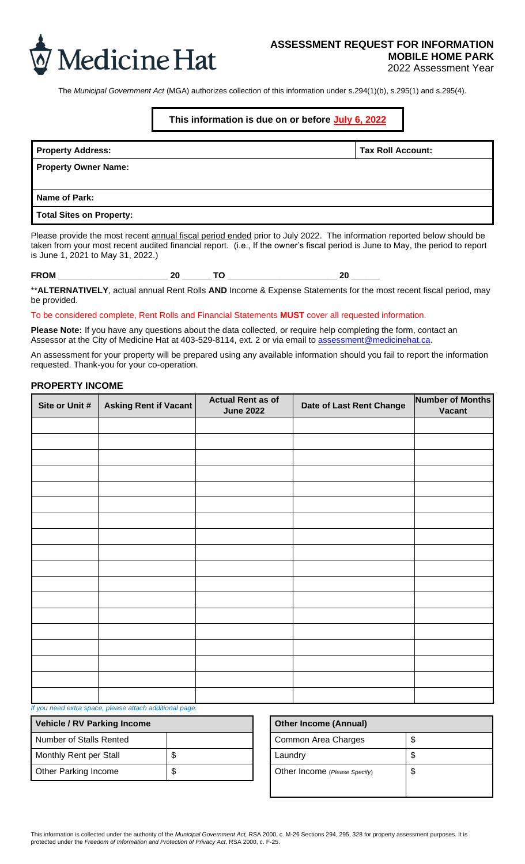

## **ASSESSMENT REQUEST FOR INFORMATION MOBILE HOME PARK**

2022 Assessment Year

The *Municipal Government Act* (MGA) authorizes collection of this information under s.294(1)(b), s.295(1) and s.295(4).

## **This information is due on or before July 6, 2022**

| <b>Property Address:</b>        | <b>Tax Roll Account:</b> |
|---------------------------------|--------------------------|
| <b>Property Owner Name:</b>     |                          |
|                                 |                          |
| Name of Park:                   |                          |
| <b>Total Sites on Property:</b> |                          |

Please provide the most recent annual fiscal period ended prior to July 2022. The information reported below should be taken from your most recent audited financial report. (i.e., If the owner's fiscal period is June to May, the period to report is June 1, 2021 to May 31, 2022.)

**FROM \_\_\_\_\_\_\_\_\_\_\_\_\_\_\_\_\_\_\_\_\_\_\_ 20 \_\_\_\_\_\_ TO \_\_\_\_\_\_\_\_\_\_\_\_\_\_\_\_\_\_\_\_\_\_\_ 20 \_\_\_\_\_\_**

\*\***ALTERNATIVELY**, actual annual Rent Rolls **AND** Income & Expense Statements for the most recent fiscal period, may be provided.

### To be considered complete, Rent Rolls and Financial Statements **MUST** cover all requested information.

**Please Note:** If you have any questions about the data collected, or require help completing the form, contact an Assessor at the City of Medicine Hat at 403-529-8114, ext. 2 or via email to [assessment@medicinehat.ca.](assessment@medicinehat.ca)

An assessment for your property will be prepared using any available information should you fail to report the information requested. Thank-you for your co-operation.

## **PROPERTY INCOME**

| Site or Unit # | <b>Asking Rent if Vacant</b>                           | <b>Actual Rent as of</b><br><b>June 2022</b> | Date of Last Rent Change | <b>Number of Months</b><br>Vacant |
|----------------|--------------------------------------------------------|----------------------------------------------|--------------------------|-----------------------------------|
|                |                                                        |                                              |                          |                                   |
|                |                                                        |                                              |                          |                                   |
|                |                                                        |                                              |                          |                                   |
|                |                                                        |                                              |                          |                                   |
|                |                                                        |                                              |                          |                                   |
|                |                                                        |                                              |                          |                                   |
|                |                                                        |                                              |                          |                                   |
|                |                                                        |                                              |                          |                                   |
|                |                                                        |                                              |                          |                                   |
|                |                                                        |                                              |                          |                                   |
|                |                                                        |                                              |                          |                                   |
|                |                                                        |                                              |                          |                                   |
|                |                                                        |                                              |                          |                                   |
|                |                                                        |                                              |                          |                                   |
|                |                                                        |                                              |                          |                                   |
|                |                                                        |                                              |                          |                                   |
|                |                                                        |                                              |                          |                                   |
|                | If you wend only aware whose offers of different power |                                              |                          |                                   |

#### *If you need extra space, please attach additional page.*

| <b>Vehicle / RV Parking Income</b> |  | <b>Other Income (Annual)</b>  |    |
|------------------------------------|--|-------------------------------|----|
| Number of Stalls Rented            |  | Common Area Charges           | \$ |
| Monthly Rent per Stall             |  | Laundry                       | \$ |
| <b>Other Parking Income</b>        |  | Other Income (Please Specify) | \$ |

| <b>Other Income (Annual)</b>  |   |
|-------------------------------|---|
| Common Area Charges           | S |
| Laundry                       |   |
| Other Income (Please Specify) | S |